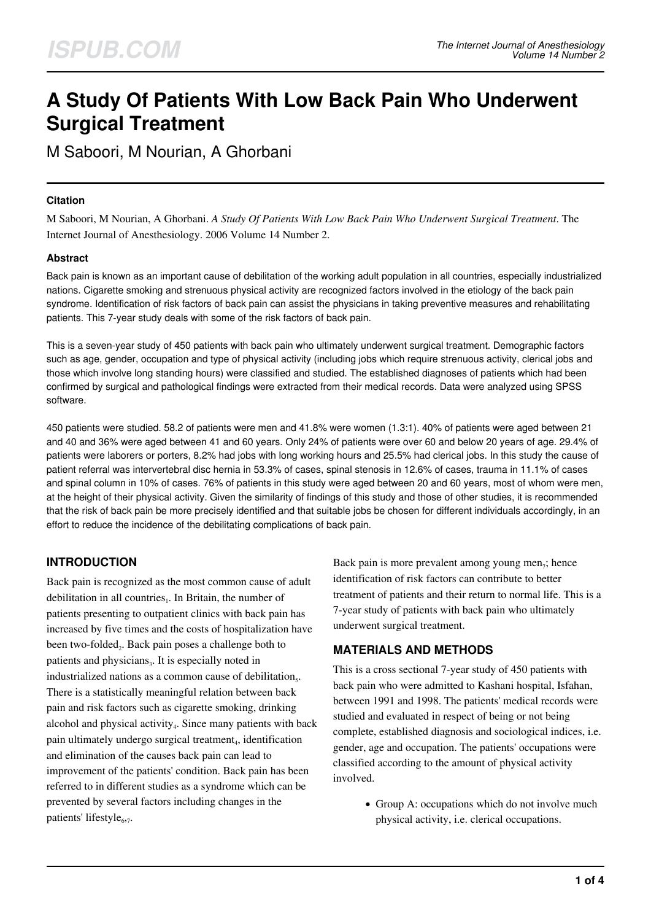# **A Study Of Patients With Low Back Pain Who Underwent Surgical Treatment**

M Saboori, M Nourian, A Ghorbani

### **Citation**

M Saboori, M Nourian, A Ghorbani. *A Study Of Patients With Low Back Pain Who Underwent Surgical Treatment*. The Internet Journal of Anesthesiology. 2006 Volume 14 Number 2.

### **Abstract**

Back pain is known as an important cause of debilitation of the working adult population in all countries, especially industrialized nations. Cigarette smoking and strenuous physical activity are recognized factors involved in the etiology of the back pain syndrome. Identification of risk factors of back pain can assist the physicians in taking preventive measures and rehabilitating patients. This 7-year study deals with some of the risk factors of back pain.

This is a seven-year study of 450 patients with back pain who ultimately underwent surgical treatment. Demographic factors such as age, gender, occupation and type of physical activity (including jobs which require strenuous activity, clerical jobs and those which involve long standing hours) were classified and studied. The established diagnoses of patients which had been confirmed by surgical and pathological findings were extracted from their medical records. Data were analyzed using SPSS software.

450 patients were studied. 58.2 of patients were men and 41.8% were women (1.3:1). 40% of patients were aged between 21 and 40 and 36% were aged between 41 and 60 years. Only 24% of patients were over 60 and below 20 years of age. 29.4% of patients were laborers or porters, 8.2% had jobs with long working hours and 25.5% had clerical jobs. In this study the cause of patient referral was intervertebral disc hernia in 53.3% of cases, spinal stenosis in 12.6% of cases, trauma in 11.1% of cases and spinal column in 10% of cases. 76% of patients in this study were aged between 20 and 60 years, most of whom were men, at the height of their physical activity. Given the similarity of findings of this study and those of other studies, it is recommended that the risk of back pain be more precisely identified and that suitable jobs be chosen for different individuals accordingly, in an effort to reduce the incidence of the debilitating complications of back pain.

# **INTRODUCTION**

Back pain is recognized as the most common cause of adult debilitation in all countries $_1$ . In Britain, the number of patients presenting to outpatient clinics with back pain has increased by five times and the costs of hospitalization have been two-folded<sub>2</sub>. Back pain poses a challenge both to patients and physicians<sub>3</sub>. It is especially noted in industrialized nations as a common cause of debilitation<sub>5</sub>. There is a statistically meaningful relation between back pain and risk factors such as cigarette smoking, drinking alcohol and physical activity<sub>4</sub>. Since many patients with back pain ultimately undergo surgical treatment<sub>4</sub>, identification and elimination of the causes back pain can lead to improvement of the patients' condition. Back pain has been referred to in different studies as a syndrome which can be prevented by several factors including changes in the patients' lifestyle<sub>677</sub>.

Back pain is more prevalent among young men<sub>7</sub>; hence identification of risk factors can contribute to better treatment of patients and their return to normal life. This is a 7-year study of patients with back pain who ultimately underwent surgical treatment.

# **MATERIALS AND METHODS**

This is a cross sectional 7-year study of 450 patients with back pain who were admitted to Kashani hospital, Isfahan, between 1991 and 1998. The patients' medical records were studied and evaluated in respect of being or not being complete, established diagnosis and sociological indices, i.e. gender, age and occupation. The patients' occupations were classified according to the amount of physical activity involved.

> • Group A: occupations which do not involve much physical activity, i.e. clerical occupations.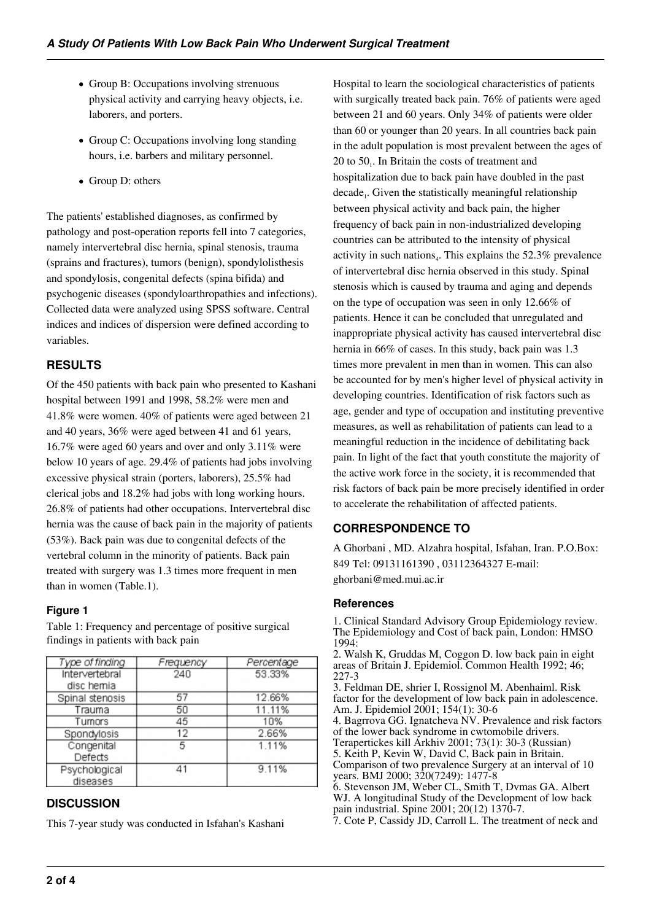- Group B: Occupations involving strenuous physical activity and carrying heavy objects, i.e. laborers, and porters.
- Group C: Occupations involving long standing hours, i.e. barbers and military personnel.
- Group D: others

The patients' established diagnoses, as confirmed by pathology and post-operation reports fell into 7 categories, namely intervertebral disc hernia, spinal stenosis, trauma (sprains and fractures), tumors (benign), spondylolisthesis and spondylosis, congenital defects (spina bifida) and psychogenic diseases (spondyloarthropathies and infections). Collected data were analyzed using SPSS software. Central indices and indices of dispersion were defined according to variables.

# **RESULTS**

Of the 450 patients with back pain who presented to Kashani hospital between 1991 and 1998, 58.2% were men and 41.8% were women. 40% of patients were aged between 21 and 40 years, 36% were aged between 41 and 61 years, 16.7% were aged 60 years and over and only 3.11% were below 10 years of age. 29.4% of patients had jobs involving excessive physical strain (porters, laborers), 25.5% had clerical jobs and 18.2% had jobs with long working hours. 26.8% of patients had other occupations. Intervertebral disc hernia was the cause of back pain in the majority of patients (53%). Back pain was due to congenital defects of the vertebral column in the minority of patients. Back pain treated with surgery was 1.3 times more frequent in men than in women (Table.1).

## **Figure 1**

findings in patients with back pain Type of finding Frequency Percentage Intervertebral 240 53.33% disc hemia Spinal stenosis  $57$ 12.66% Trauma 50 11.11%

Table 1: Frequency and percentage of positive surgical

## Tumors 45 10% Spondylosis  $12$ 2.66%

5

#### Congenital 1.11% Defects  $41$ Psychological 9.11% diseases

# **DISCUSSION**

This 7-year study was conducted in Isfahan's Kashani

Hospital to learn the sociological characteristics of patients with surgically treated back pain. 76% of patients were aged between 21 and 60 years. Only 34% of patients were older than 60 or younger than 20 years. In all countries back pain in the adult population is most prevalent between the ages of 20 to  $50<sub>1</sub>$ . In Britain the costs of treatment and hospitalization due to back pain have doubled in the past decade<sub>1</sub>. Given the statistically meaningful relationship between physical activity and back pain, the higher frequency of back pain in non-industrialized developing countries can be attributed to the intensity of physical activity in such nations<sub>4</sub>. This explains the  $52.3\%$  prevalence of intervertebral disc hernia observed in this study. Spinal stenosis which is caused by trauma and aging and depends on the type of occupation was seen in only 12.66% of patients. Hence it can be concluded that unregulated and inappropriate physical activity has caused intervertebral disc hernia in 66% of cases. In this study, back pain was 1.3 times more prevalent in men than in women. This can also be accounted for by men's higher level of physical activity in developing countries. Identification of risk factors such as age, gender and type of occupation and instituting preventive measures, as well as rehabilitation of patients can lead to a meaningful reduction in the incidence of debilitating back pain. In light of the fact that youth constitute the majority of the active work force in the society, it is recommended that risk factors of back pain be more precisely identified in order to accelerate the rehabilitation of affected patients.

# **CORRESPONDENCE TO**

A Ghorbani , MD. Alzahra hospital, Isfahan, Iran. P.O.Box: 849 Tel: 09131161390 , 03112364327 E-mail: ghorbani@med.mui.ac.ir

### **References**

1. Clinical Standard Advisory Group Epidemiology review. The Epidemiology and Cost of back pain, London: HMSO 1994:

2. Walsh K, Gruddas M, Coggon D. low back pain in eight areas of Britain J. Epidemiol. Common Health 1992; 46; 227-3

3. Feldman DE, shrier I, Rossignol M. Abenhaiml. Risk factor for the development of low back pain in adolescence. Am. J. Epidemiol 2001; 154(1): 30-6

4. Bagrrova GG. Ignatcheva NV. Prevalence and risk factors of the lower back syndrome in cwtomobile drivers.

Terapertickes kill Arkhiv 2001; 73(1): 30-3 (Russian)

5. Keith P, Kevin W, David C, Back pain in Britain. Comparison of two prevalence Surgery at an interval of 10 years. BMJ 2000; 320(7249): 1477-8

6. Stevenson JM, Weber CL, Smith T, Dvmas GA. Albert WJ. A longitudinal Study of the Development of low back pain industrial. Spine 2001; 20(12) 1370-7.

7. Cote P, Cassidy JD, Carroll L. The treatment of neck and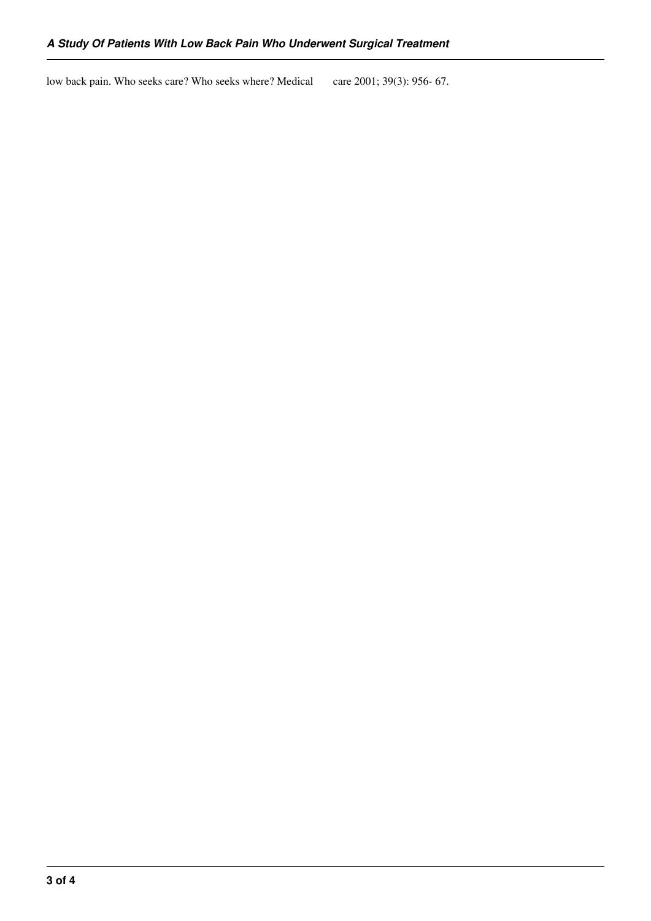low back pain. Who seeks care? Who seeks where? Medical care 2001; 39(3): 956- 67.